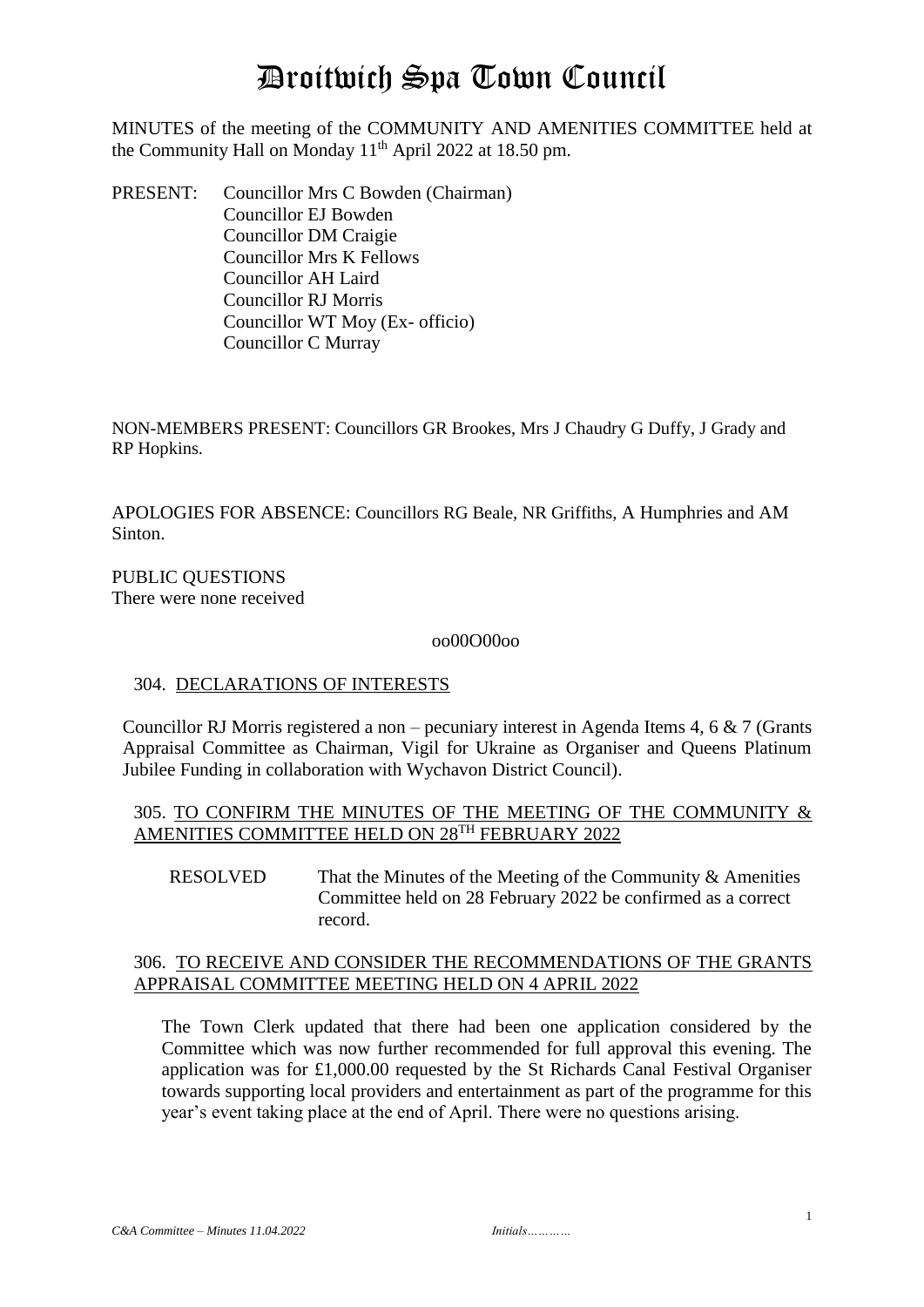# Droitwich Spa Town Council

MINUTES of the meeting of the COMMUNITY AND AMENITIES COMMITTEE held at the Community Hall on Monday  $11<sup>th</sup>$  April 2022 at 18.50 pm.

PRESENT: Councillor Mrs C Bowden (Chairman) Councillor EJ Bowden Councillor DM Craigie Councillor Mrs K Fellows Councillor AH Laird Councillor RJ Morris Councillor WT Moy (Ex- officio) Councillor C Murray

NON-MEMBERS PRESENT: Councillors GR Brookes, Mrs J Chaudry G Duffy, J Grady and RP Hopkins.

APOLOGIES FOR ABSENCE: Councillors RG Beale, NR Griffiths, A Humphries and AM Sinton.

PUBLIC QUESTIONS There were none received

#### oo00O00oo

#### 304. DECLARATIONS OF INTERESTS

Councillor RJ Morris registered a non – pecuniary interest in Agenda Items 4, 6  $\& 7$  (Grants Appraisal Committee as Chairman, Vigil for Ukraine as Organiser and Queens Platinum Jubilee Funding in collaboration with Wychavon District Council).

## 305. TO CONFIRM THE MINUTES OF THE MEETING OF THE COMMUNITY & AMENITIES COMMITTEE HELD ON 28TH FEBRUARY 2022

RESOLVED That the Minutes of the Meeting of the Community & Amenities Committee held on 28 February 2022 be confirmed as a correct record.

#### 306. TO RECEIVE AND CONSIDER THE RECOMMENDATIONS OF THE GRANTS APPRAISAL COMMITTEE MEETING HELD ON 4 APRIL 2022

The Town Clerk updated that there had been one application considered by the Committee which was now further recommended for full approval this evening. The application was for £1,000.00 requested by the St Richards Canal Festival Organiser towards supporting local providers and entertainment as part of the programme for this year's event taking place at the end of April. There were no questions arising.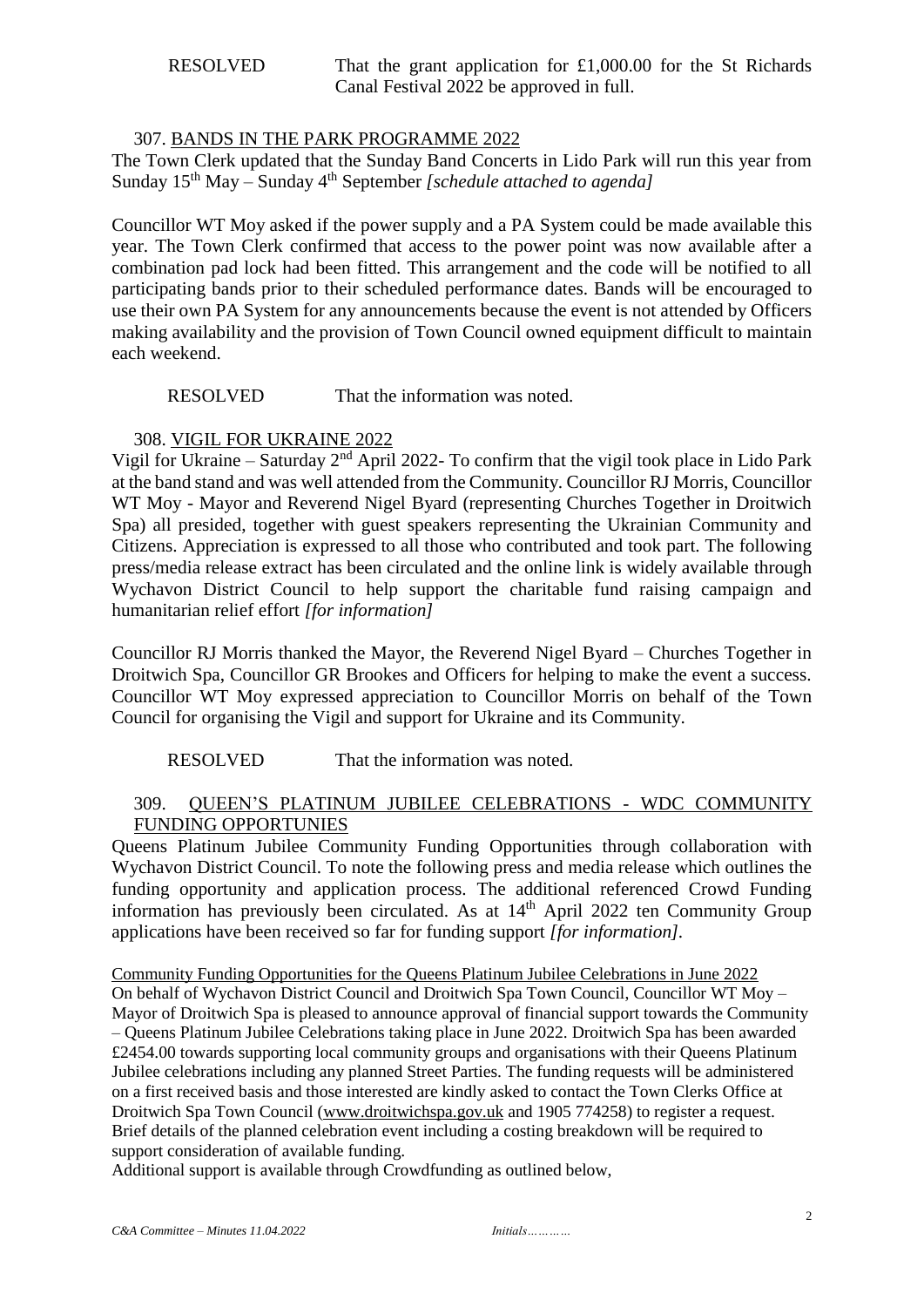## 307. BANDS IN THE PARK PROGRAMME 2022

The Town Clerk updated that the Sunday Band Concerts in Lido Park will run this year from Sunday 15th May – Sunday 4th September *[schedule attached to agenda]*

Councillor WT Moy asked if the power supply and a PA System could be made available this year. The Town Clerk confirmed that access to the power point was now available after a combination pad lock had been fitted. This arrangement and the code will be notified to all participating bands prior to their scheduled performance dates. Bands will be encouraged to use their own PA System for any announcements because the event is not attended by Officers making availability and the provision of Town Council owned equipment difficult to maintain each weekend.

RESOLVED That the information was noted.

## 308. VIGIL FOR UKRAINE 2022

Vigil for Ukraine – Saturday  $2<sup>nd</sup>$  April 2022- To confirm that the vigil took place in Lido Park at the band stand and was well attended from the Community. Councillor RJ Morris, Councillor WT Moy - Mayor and Reverend Nigel Byard (representing Churches Together in Droitwich Spa) all presided, together with guest speakers representing the Ukrainian Community and Citizens. Appreciation is expressed to all those who contributed and took part. The following press/media release extract has been circulated and the online link is widely available through Wychavon District Council to help support the charitable fund raising campaign and humanitarian relief effort *[for information]*

Councillor RJ Morris thanked the Mayor, the Reverend Nigel Byard – Churches Together in Droitwich Spa, Councillor GR Brookes and Officers for helping to make the event a success. Councillor WT Moy expressed appreciation to Councillor Morris on behalf of the Town Council for organising the Vigil and support for Ukraine and its Community.

## RESOLVED That the information was noted.

## 309. QUEEN'S PLATINUM JUBILEE CELEBRATIONS - WDC COMMUNITY FUNDING OPPORTUNIES

Queens Platinum Jubilee Community Funding Opportunities through collaboration with Wychavon District Council. To note the following press and media release which outlines the funding opportunity and application process. The additional referenced Crowd Funding information has previously been circulated. As at 14th April 2022 ten Community Group applications have been received so far for funding support *[for information].*

Community Funding Opportunities for the Queens Platinum Jubilee Celebrations in June 2022 On behalf of Wychavon District Council and Droitwich Spa Town Council, Councillor WT Moy – Mayor of Droitwich Spa is pleased to announce approval of financial support towards the Community – Queens Platinum Jubilee Celebrations taking place in June 2022. Droitwich Spa has been awarded £2454.00 towards supporting local community groups and organisations with their Queens Platinum Jubilee celebrations including any planned Street Parties. The funding requests will be administered on a first received basis and those interested are kindly asked to contact the Town Clerks Office at Droitwich Spa Town Council [\(www.droitwichspa.gov.uk](http://www.droitwichspa.gov.uk/) and 1905 774258) to register a request. Brief details of the planned celebration event including a costing breakdown will be required to support consideration of available funding.

Additional support is available through Crowdfunding as outlined below,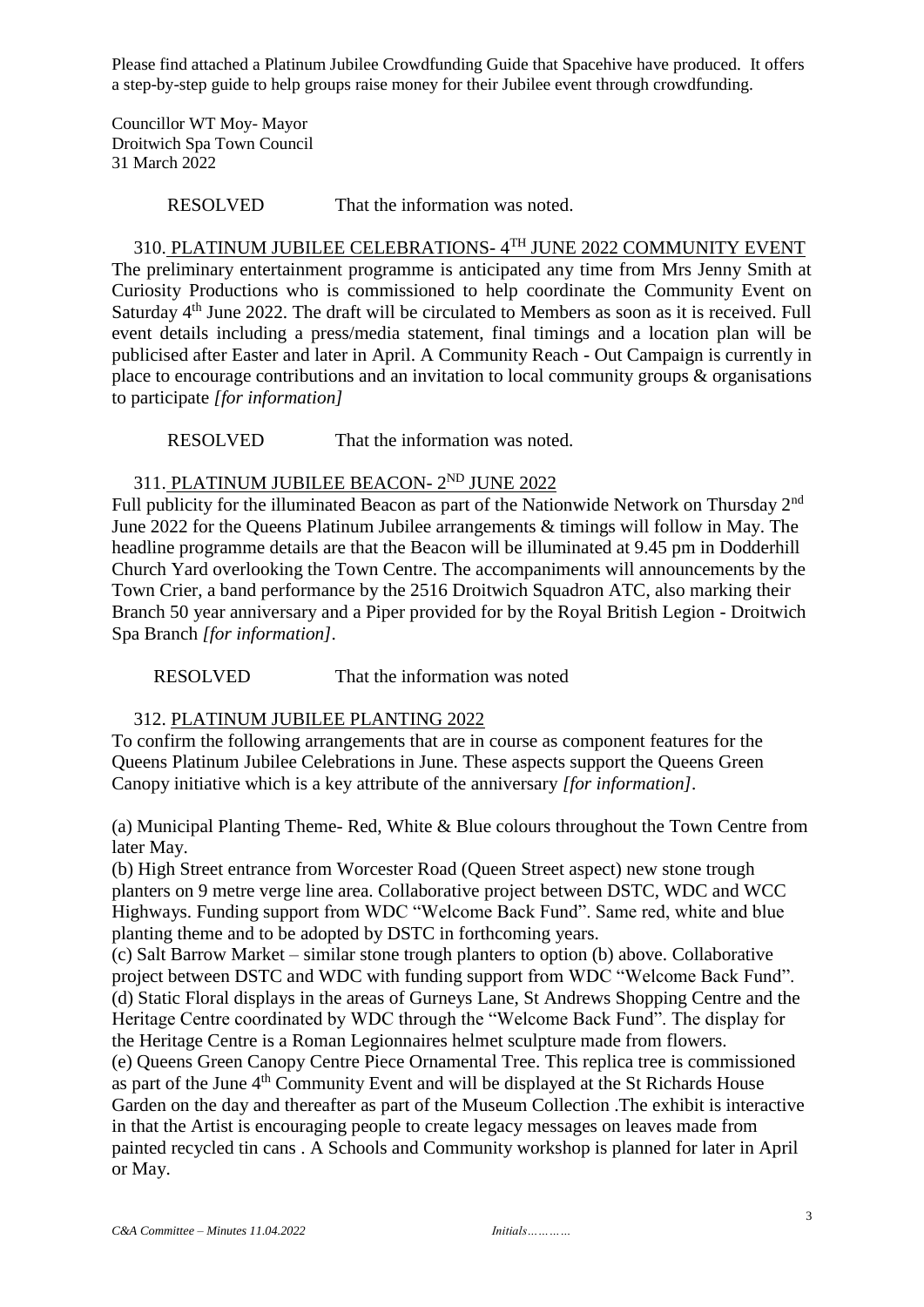Please find attached a Platinum Jubilee Crowdfunding Guide that Spacehive have produced. It offers a step-by-step guide to help groups raise money for their Jubilee event through crowdfunding.

Councillor WT Moy- Mayor Droitwich Spa Town Council 31 March 2022

RESOLVED That the information was noted.

#### 310. <u>PLATINUM JUBILEE CELEBRATIONS- 4TH JUNE 2022 COMMUNITY EVENT</u>

The preliminary entertainment programme is anticipated any time from Mrs Jenny Smith at Curiosity Productions who is commissioned to help coordinate the Community Event on Saturday 4<sup>th</sup> June 2022. The draft will be circulated to Members as soon as it is received. Full event details including a press/media statement, final timings and a location plan will be publicised after Easter and later in April. A Community Reach - Out Campaign is currently in place to encourage contributions and an invitation to local community groups & organisations to participate *[for information]*

RESOLVED That the information was noted.

#### 311. PLATINUM JUBILEE BEACON- 2<sup>ND</sup> JUNE 2022

Full publicity for the illuminated Beacon as part of the Nationwide Network on Thursday 2<sup>nd</sup> June 2022 for the Queens Platinum Jubilee arrangements & timings will follow in May. The headline programme details are that the Beacon will be illuminated at 9.45 pm in Dodderhill Church Yard overlooking the Town Centre. The accompaniments will announcements by the Town Crier, a band performance by the 2516 Droitwich Squadron ATC, also marking their Branch 50 year anniversary and a Piper provided for by the Royal British Legion - Droitwich Spa Branch *[for information].*

RESOLVED That the information was noted

#### 312. PLATINUM JUBILEE PLANTING 2022

To confirm the following arrangements that are in course as component features for the Queens Platinum Jubilee Celebrations in June. These aspects support the Queens Green Canopy initiative which is a key attribute of the anniversary *[for information].*

(a) Municipal Planting Theme- Red, White & Blue colours throughout the Town Centre from later May.

(b) High Street entrance from Worcester Road (Queen Street aspect) new stone trough planters on 9 metre verge line area. Collaborative project between DSTC, WDC and WCC Highways. Funding support from WDC "Welcome Back Fund". Same red, white and blue planting theme and to be adopted by DSTC in forthcoming years.

(c) Salt Barrow Market – similar stone trough planters to option (b) above. Collaborative project between DSTC and WDC with funding support from WDC "Welcome Back Fund". (d) Static Floral displays in the areas of Gurneys Lane, St Andrews Shopping Centre and the Heritage Centre coordinated by WDC through the "Welcome Back Fund". The display for the Heritage Centre is a Roman Legionnaires helmet sculpture made from flowers.

(e) Queens Green Canopy Centre Piece Ornamental Tree. This replica tree is commissioned as part of the June 4th Community Event and will be displayed at the St Richards House Garden on the day and thereafter as part of the Museum Collection .The exhibit is interactive in that the Artist is encouraging people to create legacy messages on leaves made from painted recycled tin cans . A Schools and Community workshop is planned for later in April or May.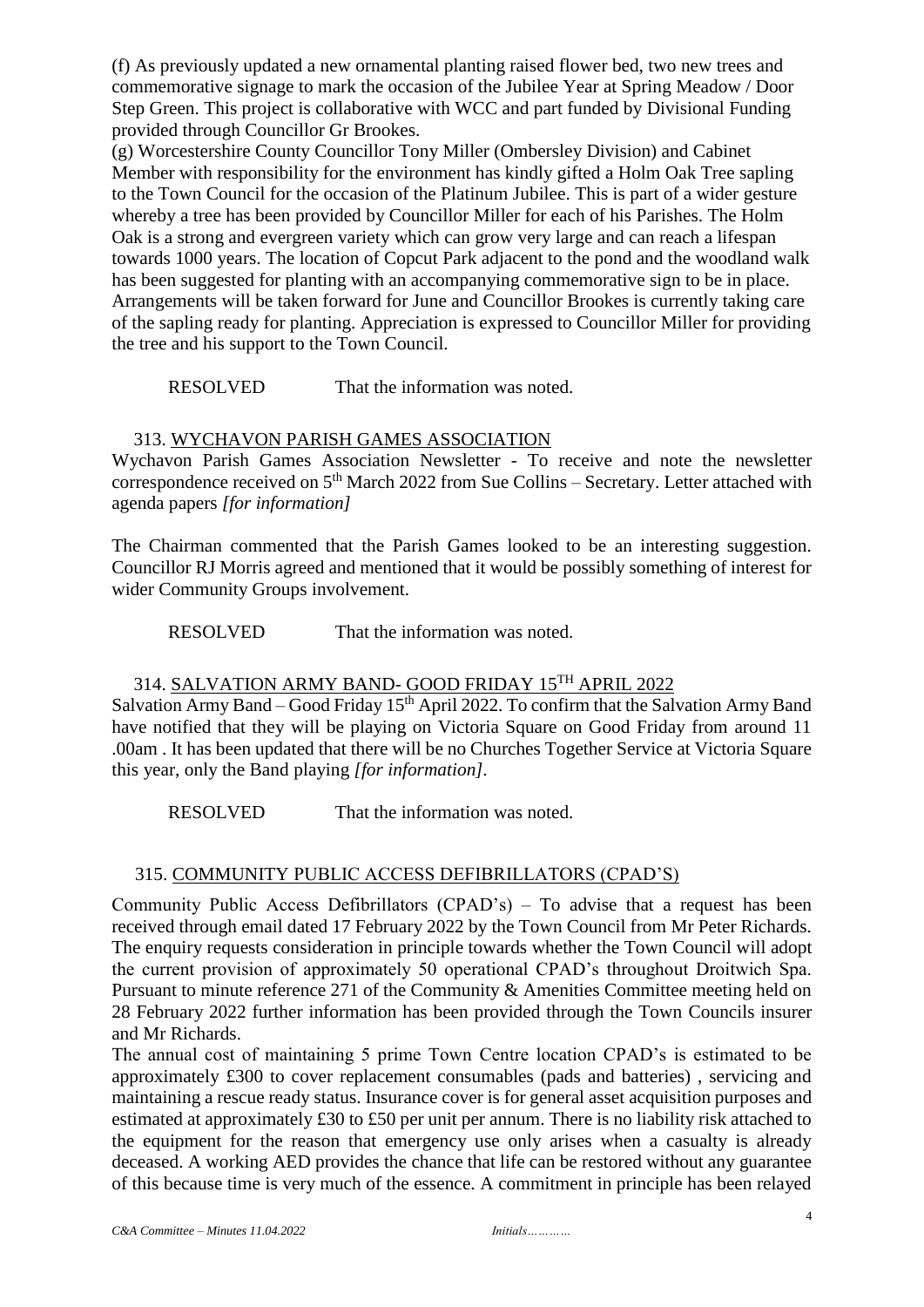(f) As previously updated a new ornamental planting raised flower bed, two new trees and commemorative signage to mark the occasion of the Jubilee Year at Spring Meadow / Door Step Green. This project is collaborative with WCC and part funded by Divisional Funding provided through Councillor Gr Brookes.

(g) Worcestershire County Councillor Tony Miller (Ombersley Division) and Cabinet Member with responsibility for the environment has kindly gifted a Holm Oak Tree sapling to the Town Council for the occasion of the Platinum Jubilee. This is part of a wider gesture whereby a tree has been provided by Councillor Miller for each of his Parishes. The Holm Oak is a strong and evergreen variety which can grow very large and can reach a lifespan towards 1000 years. The location of Copcut Park adjacent to the pond and the woodland walk has been suggested for planting with an accompanying commemorative sign to be in place. Arrangements will be taken forward for June and Councillor Brookes is currently taking care of the sapling ready for planting. Appreciation is expressed to Councillor Miller for providing the tree and his support to the Town Council.

RESOLVED That the information was noted.

#### 313. WYCHAVON PARISH GAMES ASSOCIATION

Wychavon Parish Games Association Newsletter - To receive and note the newsletter correspondence received on 5<sup>th</sup> March 2022 from Sue Collins – Secretary. Letter attached with agenda papers *[for information]*

The Chairman commented that the Parish Games looked to be an interesting suggestion. Councillor RJ Morris agreed and mentioned that it would be possibly something of interest for wider Community Groups involvement.

RESOLVED That the information was noted.

## 314. SALVATION ARMY BAND- GOOD FRIDAY 15TH APRIL 2022

Salvation Army Band – Good Friday  $15<sup>th</sup>$  April 2022. To confirm that the Salvation Army Band have notified that they will be playing on Victoria Square on Good Friday from around 11 .00am . It has been updated that there will be no Churches Together Service at Victoria Square this year, only the Band playing *[for information].*

RESOLVED That the information was noted.

## 315. COMMUNITY PUBLIC ACCESS DEFIBRILLATORS (CPAD'S)

Community Public Access Defibrillators (CPAD's) – To advise that a request has been received through email dated 17 February 2022 by the Town Council from Mr Peter Richards. The enquiry requests consideration in principle towards whether the Town Council will adopt the current provision of approximately 50 operational CPAD's throughout Droitwich Spa. Pursuant to minute reference 271 of the Community & Amenities Committee meeting held on 28 February 2022 further information has been provided through the Town Councils insurer and Mr Richards.

The annual cost of maintaining 5 prime Town Centre location CPAD's is estimated to be approximately £300 to cover replacement consumables (pads and batteries) , servicing and maintaining a rescue ready status. Insurance cover is for general asset acquisition purposes and estimated at approximately £30 to £50 per unit per annum. There is no liability risk attached to the equipment for the reason that emergency use only arises when a casualty is already deceased. A working AED provides the chance that life can be restored without any guarantee of this because time is very much of the essence. A commitment in principle has been relayed